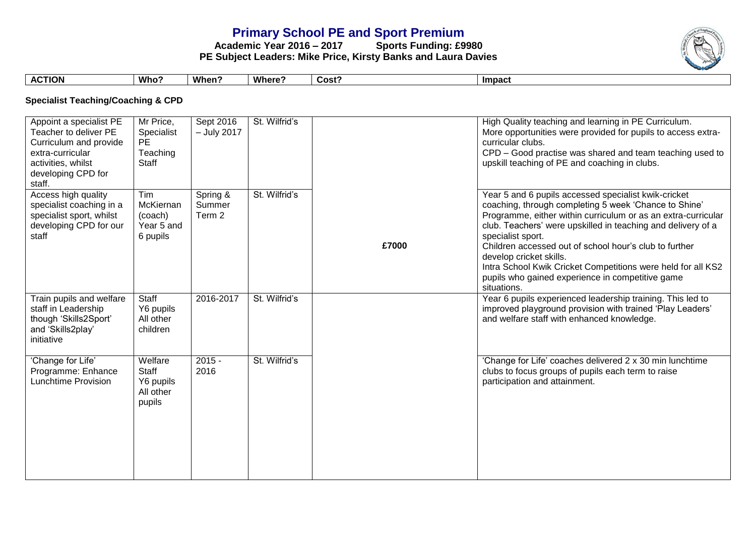# **Primary School PE and Sport Premium**<br>ademic Year 2016 - 2017 Sports Funding: £9980

**Academic Year 2016 – 2017 PE Subject Leaders: Mike Price, Kirsty Banks and Laura Davies**



| ΓΙΟΝ<br>$\mathbf{A}$ | Who | When . | <b>Where</b> | $\mathsf{Cost}^{\sigma}$ | <b>Impact</b> |
|----------------------|-----|--------|--------------|--------------------------|---------------|

**Specialist Teaching/Coaching & CPD**

| Appoint a specialist PE<br>Teacher to deliver PE<br>Curriculum and provide<br>extra-curricular<br>activities, whilst<br>developing CPD for<br>staff. | Mr Price,<br>Specialist<br><b>PE</b><br>Teaching<br>Staff | Sept 2016<br>$-$ July 2017   | St. Wilfrid's |       | High Quality teaching and learning in PE Curriculum.<br>More opportunities were provided for pupils to access extra-<br>curricular clubs.<br>CPD - Good practise was shared and team teaching used to<br>upskill teaching of PE and coaching in clubs.                                                                                                                                                                                                                                      |
|------------------------------------------------------------------------------------------------------------------------------------------------------|-----------------------------------------------------------|------------------------------|---------------|-------|---------------------------------------------------------------------------------------------------------------------------------------------------------------------------------------------------------------------------------------------------------------------------------------------------------------------------------------------------------------------------------------------------------------------------------------------------------------------------------------------|
| Access high quality<br>specialist coaching in a<br>specialist sport, whilst<br>developing CPD for our<br>staff                                       | Tim<br>McKiernan<br>(coach)<br>Year 5 and<br>6 pupils     | Spring &<br>Summer<br>Term 2 | St. Wilfrid's | £7000 | Year 5 and 6 pupils accessed specialist kwik-cricket<br>coaching, through completing 5 week 'Chance to Shine'<br>Programme, either within curriculum or as an extra-curricular<br>club. Teachers' were upskilled in teaching and delivery of a<br>specialist sport.<br>Children accessed out of school hour's club to further<br>develop cricket skills.<br>Intra School Kwik Cricket Competitions were held for all KS2<br>pupils who gained experience in competitive game<br>situations. |
| Train pupils and welfare<br>staff in Leadership<br>though 'Skills2Sport'<br>and 'Skills2play'<br>initiative                                          | Staff<br>Y6 pupils<br>All other<br>children               | 2016-2017                    | St. Wilfrid's |       | Year 6 pupils experienced leadership training. This led to<br>improved playground provision with trained 'Play Leaders'<br>and welfare staff with enhanced knowledge.                                                                                                                                                                                                                                                                                                                       |
| 'Change for Life'<br>Programme: Enhance<br><b>Lunchtime Provision</b>                                                                                | Welfare<br>Staff<br>Y6 pupils<br>All other<br>pupils      | $2015 -$<br>2016             | St. Wilfrid's |       | 'Change for Life' coaches delivered 2 x 30 min lunchtime<br>clubs to focus groups of pupils each term to raise<br>participation and attainment.                                                                                                                                                                                                                                                                                                                                             |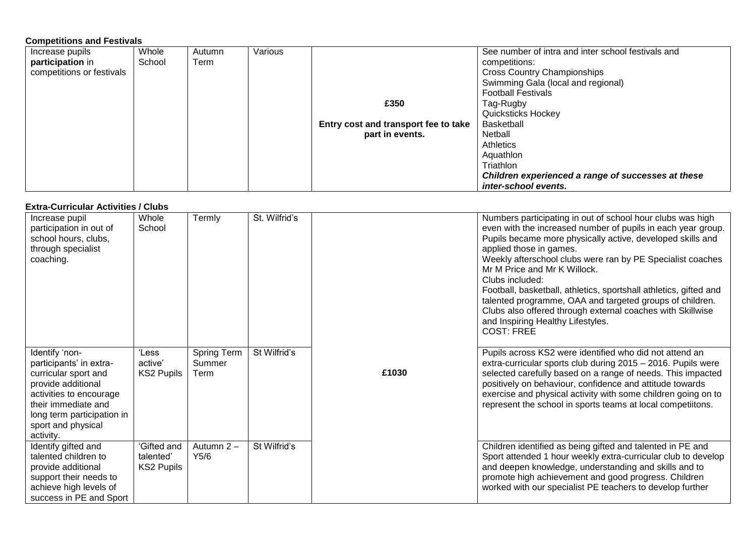#### **Competitions and Festivals**

| Increase pupils           | Whole  | Autumn | Various |                                      | See number of intra and inter school festivals and |
|---------------------------|--------|--------|---------|--------------------------------------|----------------------------------------------------|
| participation in          | School | Term   |         |                                      | competitions:                                      |
| competitions or festivals |        |        |         |                                      | <b>Cross Country Championships</b>                 |
|                           |        |        |         |                                      | Swimming Gala (local and regional)                 |
|                           |        |        |         |                                      | <b>Football Festivals</b>                          |
|                           |        |        |         | £350                                 | Tag-Rugby                                          |
|                           |        |        |         |                                      | <b>Quicksticks Hockey</b>                          |
|                           |        |        |         | Entry cost and transport fee to take | <b>Basketball</b>                                  |
|                           |        |        |         | part in events.                      | Netball                                            |
|                           |        |        |         |                                      | Athletics                                          |
|                           |        |        |         |                                      | Aquathlon                                          |
|                           |        |        |         |                                      | Triathlon                                          |
|                           |        |        |         |                                      | Children experienced a range of successes at these |
|                           |        |        |         |                                      | inter-school events.                               |

### **Extra-Curricular Activities / Clubs**

| LAU a-Gurricular Activities / Clubs                                                                                                                                                                        |                                               |                                      |               |       |                                                                                                                                                                                                                                                                                                                                                                                                                                                                                                                                                                                               |  |  |
|------------------------------------------------------------------------------------------------------------------------------------------------------------------------------------------------------------|-----------------------------------------------|--------------------------------------|---------------|-------|-----------------------------------------------------------------------------------------------------------------------------------------------------------------------------------------------------------------------------------------------------------------------------------------------------------------------------------------------------------------------------------------------------------------------------------------------------------------------------------------------------------------------------------------------------------------------------------------------|--|--|
| Increase pupil<br>participation in out of<br>school hours, clubs,<br>through specialist<br>coaching.                                                                                                       | Whole<br>School                               | Termly                               | St. Wilfrid's |       | Numbers participating in out of school hour clubs was high<br>even with the increased number of pupils in each year group.<br>Pupils became more physically active, developed skills and<br>applied those in games.<br>Weekly afterschool clubs were ran by PE Specialist coaches<br>Mr M Price and Mr K Willock.<br>Clubs included:<br>Football, basketball, athletics, sportshall athletics, gifted and<br>talented programme, OAA and targeted groups of children.<br>Clubs also offered through external coaches with Skillwise<br>and Inspiring Healthy Lifestyles.<br><b>COST: FREE</b> |  |  |
| Identify 'non-<br>participants' in extra-<br>curricular sport and<br>provide additional<br>activities to encourage<br>their immediate and<br>long term participation in<br>sport and physical<br>activity. | 'Less<br>active'<br><b>KS2 Pupils</b>         | <b>Spring Term</b><br>Summer<br>Term | St Wilfrid's  | £1030 | Pupils across KS2 were identified who did not attend an<br>extra-curricular sports club during 2015 - 2016. Pupils were<br>selected carefully based on a range of needs. This impacted<br>positively on behaviour, confidence and attitude towards<br>exercise and physical activity with some children going on to<br>represent the school in sports teams at local competiitons.                                                                                                                                                                                                            |  |  |
| Identify gifted and<br>talented children to<br>provide additional<br>support their needs to<br>achieve high levels of<br>success in PE and Sport                                                           | 'Gifted and<br>talented'<br><b>KS2 Pupils</b> | Autumn 2-<br>Y5/6                    | St Wilfrid's  |       | Children identified as being gifted and talented in PE and<br>Sport attended 1 hour weekly extra-curricular club to develop<br>and deepen knowledge, understanding and skills and to<br>promote high achievement and good progress. Children<br>worked with our specialist PE teachers to develop further                                                                                                                                                                                                                                                                                     |  |  |